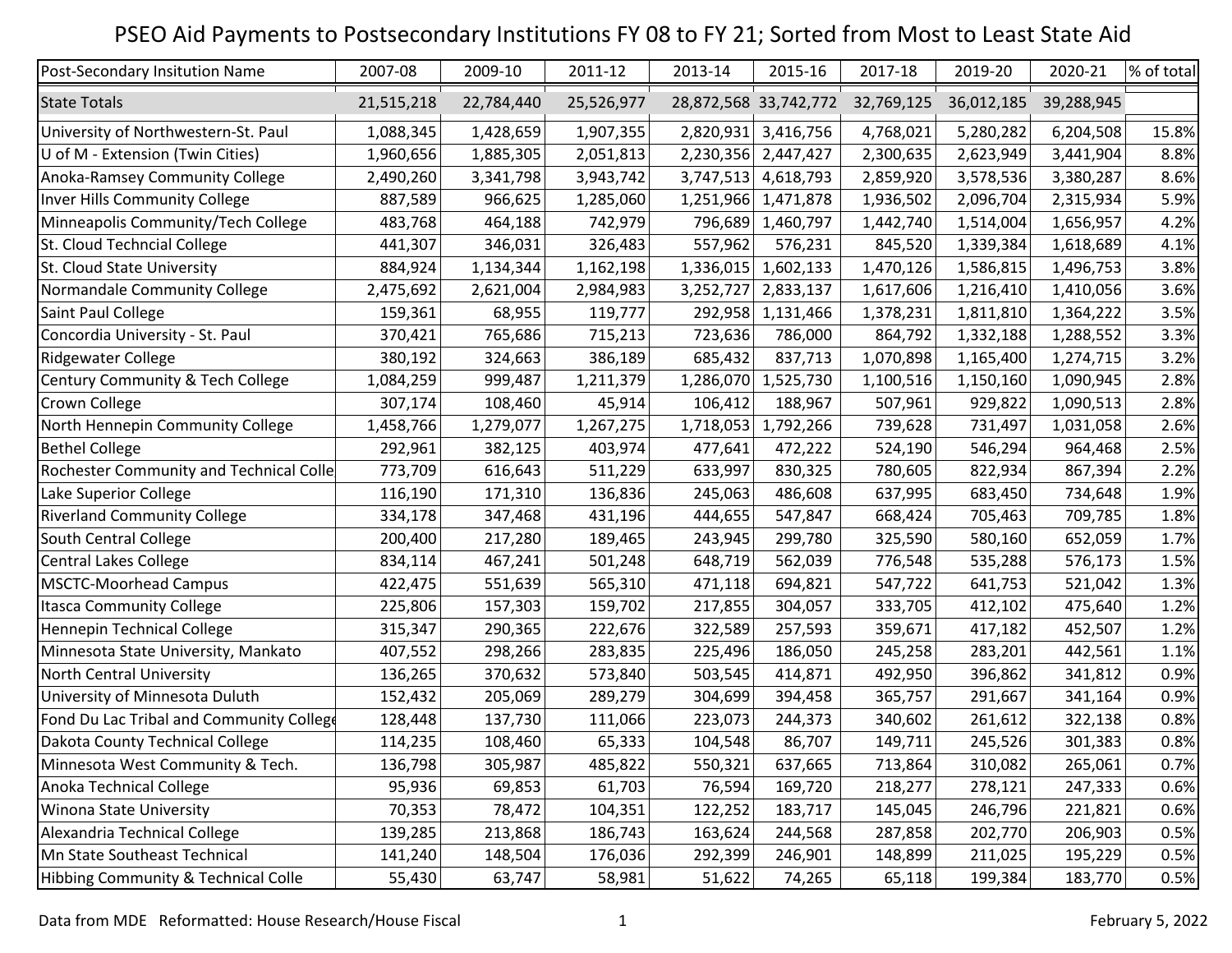## PSEO Aid Payments to Postsecondary Institutions FY 08 to FY 21; Sorted from Most to Least State Aid

| Post-Secondary Insitution Name           | 2007-08    | 2009-10    | 2011-12    | 2013-14   | 2015-16               | 2017-18    | 2019-20    | 2020-21    | % of total |
|------------------------------------------|------------|------------|------------|-----------|-----------------------|------------|------------|------------|------------|
| <b>State Totals</b>                      | 21,515,218 | 22,784,440 | 25,526,977 |           | 28,872,568 33,742,772 | 32,769,125 | 36,012,185 | 39,288,945 |            |
| University of Northwestern-St. Paul      | 1,088,345  | 1,428,659  | 1,907,355  | 2,820,931 | 3,416,756             | 4,768,021  | 5,280,282  | 6,204,508  | 15.8%      |
| U of M - Extension (Twin Cities)         | 1,960,656  | 1,885,305  | 2,051,813  | 2,230,356 | 2,447,427             | 2,300,635  | 2,623,949  | 3,441,904  | 8.8%       |
| Anoka-Ramsey Community College           | 2,490,260  | 3,341,798  | 3,943,742  | 3,747,513 | 4,618,793             | 2,859,920  | 3,578,536  | 3,380,287  | 8.6%       |
| Inver Hills Community College            | 887,589    | 966,625    | 1,285,060  | 1,251,966 | 1,471,878             | 1,936,502  | 2,096,704  | 2,315,934  | 5.9%       |
| Minneapolis Community/Tech College       | 483,768    | 464,188    | 742,979    | 796,689   | 1,460,797             | 1,442,740  | 1,514,004  | 1,656,957  | 4.2%       |
| St. Cloud Techncial College              | 441,307    | 346,031    | 326,483    | 557,962   | 576,231               | 845,520    | 1,339,384  | 1,618,689  | 4.1%       |
| St. Cloud State University               | 884,924    | 1,134,344  | 1,162,198  | 1,336,015 | 1,602,133             | 1,470,126  | 1,586,815  | 1,496,753  | 3.8%       |
| Normandale Community College             | 2,475,692  | 2,621,004  | 2,984,983  | 3,252,727 | 2,833,137             | 1,617,606  | 1,216,410  | 1,410,056  | 3.6%       |
| Saint Paul College                       | 159,361    | 68,955     | 119,777    | 292,958   | 1,131,466             | 1,378,231  | 1,811,810  | 1,364,222  | 3.5%       |
| Concordia University - St. Paul          | 370,421    | 765,686    | 715,213    | 723,636   | 786,000               | 864,792    | 1,332,188  | 1,288,552  | 3.3%       |
| <b>Ridgewater College</b>                | 380,192    | 324,663    | 386,189    | 685,432   | 837,713               | 1,070,898  | 1,165,400  | 1,274,715  | 3.2%       |
| Century Community & Tech College         | 1,084,259  | 999,487    | 1,211,379  | 1,286,070 | 1,525,730             | 1,100,516  | 1,150,160  | 1,090,945  | 2.8%       |
| Crown College                            | 307,174    | 108,460    | 45,914     | 106,412   | 188,967               | 507,961    | 929,822    | 1,090,513  | 2.8%       |
| North Hennepin Community College         | 1,458,766  | 1,279,077  | 1,267,275  | 1,718,053 | 1,792,266             | 739,628    | 731,497    | 1,031,058  | 2.6%       |
| <b>Bethel College</b>                    | 292,961    | 382,125    | 403,974    | 477,641   | 472,222               | 524,190    | 546,294    | 964,468    | 2.5%       |
| Rochester Community and Technical Colle  | 773,709    | 616,643    | 511,229    | 633,997   | 830,325               | 780,605    | 822,934    | 867,394    | 2.2%       |
| Lake Superior College                    | 116,190    | 171,310    | 136,836    | 245,063   | 486,608               | 637,995    | 683,450    | 734,648    | 1.9%       |
| <b>Riverland Community College</b>       | 334,178    | 347,468    | 431,196    | 444,655   | 547,847               | 668,424    | 705,463    | 709,785    | 1.8%       |
| South Central College                    | 200,400    | 217,280    | 189,465    | 243,945   | 299,780               | 325,590    | 580,160    | 652,059    | 1.7%       |
| <b>Central Lakes College</b>             | 834,114    | 467,241    | 501,248    | 648,719   | 562,039               | 776,548    | 535,288    | 576,173    | 1.5%       |
| <b>MSCTC-Moorhead Campus</b>             | 422,475    | 551,639    | 565,310    | 471,118   | 694,821               | 547,722    | 641,753    | 521,042    | 1.3%       |
| <b>Itasca Community College</b>          | 225,806    | 157,303    | 159,702    | 217,855   | 304,057               | 333,705    | 412,102    | 475,640    | 1.2%       |
| Hennepin Technical College               | 315,347    | 290,365    | 222,676    | 322,589   | 257,593               | 359,671    | 417,182    | 452,507    | 1.2%       |
| Minnesota State University, Mankato      | 407,552    | 298,266    | 283,835    | 225,496   | 186,050               | 245,258    | 283,201    | 442,561    | 1.1%       |
| North Central University                 | 136,265    | 370,632    | 573,840    | 503,545   | 414,871               | 492,950    | 396,862    | 341,812    | 0.9%       |
| University of Minnesota Duluth           | 152,432    | 205,069    | 289,279    | 304,699   | 394,458               | 365,757    | 291,667    | 341,164    | 0.9%       |
| Fond Du Lac Tribal and Community College | 128,448    | 137,730    | 111,066    | 223,073   | 244,373               | 340,602    | 261,612    | 322,138    | 0.8%       |
| Dakota County Technical College          | 114,235    | 108,460    | 65,333     | 104,548   | 86,707                | 149,711    | 245,526    | 301,383    | 0.8%       |
| Minnesota West Community & Tech.         | 136,798    | 305,987    | 485,822    | 550,321   | 637,665               | 713,864    | 310,082    | 265,061    | 0.7%       |
| Anoka Technical College                  | 95,936     | 69,853     | 61,703     | 76,594    | 169,720               | 218,277    | 278,121    | 247,333    | 0.6%       |
| <b>Winona State University</b>           | 70,353     | 78,472     | 104,351    | 122,252   | 183,717               | 145,045    | 246,796    | 221,821    | 0.6%       |
| Alexandria Technical College             | 139,285    | 213,868    | 186,743    | 163,624   | 244,568               | 287,858    | 202,770    | 206,903    | 0.5%       |
| Mn State Southeast Technical             | 141,240    | 148,504    | 176,036    | 292,399   | 246,901               | 148,899    | 211,025    | 195,229    | 0.5%       |
| Hibbing Community & Technical Colle      | 55,430     | 63,747     | 58,981     | 51,622    | 74,265                | 65,118     | 199,384    | 183,770    | 0.5%       |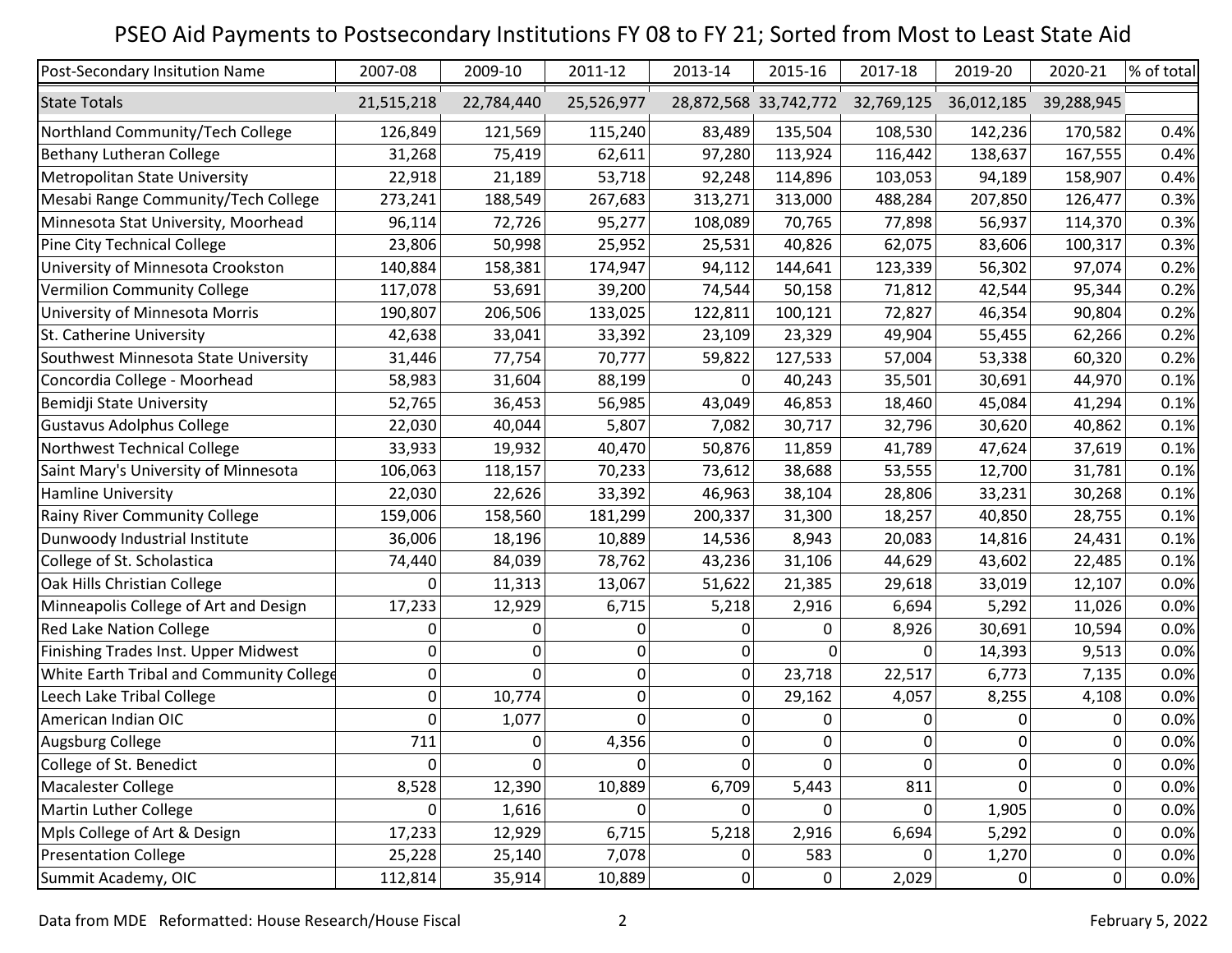## PSEO Aid Payments to Postsecondary Institutions FY 08 to FY 21; Sorted from Most to Least State Aid

| Post-Secondary Insitution Name           | 2007-08        | 2009-10        | 2011-12    | 2013-14     | 2015-16     | 2017-18                          | 2019-20        | 2020-21    | % of total |
|------------------------------------------|----------------|----------------|------------|-------------|-------------|----------------------------------|----------------|------------|------------|
| <b>State Totals</b>                      | 21,515,218     | 22,784,440     | 25,526,977 |             |             | 28,872,568 33,742,772 32,769,125 | 36,012,185     | 39,288,945 |            |
| Northland Community/Tech College         | 126,849        | 121,569        | 115,240    | 83,489      | 135,504     | 108,530                          | 142,236        | 170,582    | 0.4%       |
| <b>Bethany Lutheran College</b>          | 31,268         | 75,419         | 62,611     | 97,280      | 113,924     | 116,442                          | 138,637        | 167,555    | 0.4%       |
| Metropolitan State University            | 22,918         | 21,189         | 53,718     | 92,248      | 114,896     | 103,053                          | 94,189         | 158,907    | 0.4%       |
| Mesabi Range Community/Tech College      | 273,241        | 188,549        | 267,683    | 313,271     | 313,000     | 488,284                          | 207,850        | 126,477    | 0.3%       |
| Minnesota Stat University, Moorhead      | 96,114         | 72,726         | 95,277     | 108,089     | 70,765      | 77,898                           | 56,937         | 114,370    | 0.3%       |
| Pine City Technical College              | 23,806         | 50,998         | 25,952     | 25,531      | 40,826      | 62,075                           | 83,606         | 100,317    | 0.3%       |
| University of Minnesota Crookston        | 140,884        | 158,381        | 174,947    | 94,112      | 144,641     | 123,339                          | 56,302         | 97,074     | 0.2%       |
| <b>Vermilion Community College</b>       | 117,078        | 53,691         | 39,200     | 74,544      | 50,158      | 71,812                           | 42,544         | 95,344     | 0.2%       |
| University of Minnesota Morris           | 190,807        | 206,506        | 133,025    | 122,811     | 100,121     | 72,827                           | 46,354         | 90,804     | 0.2%       |
| St. Catherine University                 | 42,638         | 33,041         | 33,392     | 23,109      | 23,329      | 49,904                           | 55,455         | 62,266     | 0.2%       |
| Southwest Minnesota State University     | 31,446         | 77,754         | 70,777     | 59,822      | 127,533     | 57,004                           | 53,338         | 60,320     | 0.2%       |
| Concordia College - Moorhead             | 58,983         | 31,604         | 88,199     | 0           | 40,243      | 35,501                           | 30,691         | 44,970     | 0.1%       |
| Bemidji State University                 | 52,765         | 36,453         | 56,985     | 43,049      | 46,853      | 18,460                           | 45,084         | 41,294     | 0.1%       |
| <b>Gustavus Adolphus College</b>         | 22,030         | 40,044         | 5,807      | 7,082       | 30,717      | 32,796                           | 30,620         | 40,862     | 0.1%       |
| Northwest Technical College              | 33,933         | 19,932         | 40,470     | 50,876      | 11,859      | 41,789                           | 47,624         | 37,619     | 0.1%       |
| Saint Mary's University of Minnesota     | 106,063        | 118,157        | 70,233     | 73,612      | 38,688      | 53,555                           | 12,700         | 31,781     | 0.1%       |
| <b>Hamline University</b>                | 22,030         | 22,626         | 33,392     | 46,963      | 38,104      | 28,806                           | 33,231         | 30,268     | 0.1%       |
| Rainy River Community College            | 159,006        | 158,560        | 181,299    | 200,337     | 31,300      | 18,257                           | 40,850         | 28,755     | 0.1%       |
| Dunwoody Industrial Institute            | 36,006         | 18,196         | 10,889     | 14,536      | 8,943       | 20,083                           | 14,816         | 24,431     | 0.1%       |
| College of St. Scholastica               | 74,440         | 84,039         | 78,762     | 43,236      | 31,106      | 44,629                           | 43,602         | 22,485     | 0.1%       |
| Oak Hills Christian College              | 0              | 11,313         | 13,067     | 51,622      | 21,385      | 29,618                           | 33,019         | 12,107     | 0.0%       |
| Minneapolis College of Art and Design    | 17,233         | 12,929         | 6,715      | 5,218       | 2,916       | 6,694                            | 5,292          | 11,026     | 0.0%       |
| <b>Red Lake Nation College</b>           | 0              | 0              | 0          | 0           | 0           | 8,926                            | 30,691         | 10,594     | 0.0%       |
| Finishing Trades Inst. Upper Midwest     | 0              | 0              | 0          | 0           | $\Omega$    | 0                                | 14,393         | 9,513      | 0.0%       |
| White Earth Tribal and Community College | 0              | $\mathbf{0}$   | 0          | 0           | 23,718      | 22,517                           | 6,773          | 7,135      | 0.0%       |
| Leech Lake Tribal College                | 0              | 10,774         | 0          | 0           | 29,162      | 4,057                            | 8,255          | 4,108      | 0.0%       |
| American Indian OIC                      | 0              | 1,077          | $\Omega$   | 0           | 0           | 0                                | $\Omega$       | 0          | 0.0%       |
| Augsburg College                         | 711            | $\overline{0}$ | 4,356      | 0           | 0           | 0                                | $\overline{0}$ | 0          | 0.0%       |
| College of St. Benedict                  | $\overline{0}$ | 0              | 0          | 0           | 0           | $\overline{0}$                   | 0              | 0          | 0.0%       |
| Macalester College                       | 8,528          | 12,390         | 10,889     | 6,709       | 5,443       | 811                              | $\overline{0}$ | 0          | 0.0%       |
| Martin Luther College                    | 0              | 1,616          | $\Omega$   | 0           | 0           | $\Omega$                         | 1,905          | 0          | 0.0%       |
| Mpls College of Art & Design             | 17,233         | 12,929         | 6,715      | 5,218       | 2,916       | 6,694                            | 5,292          | 0          | 0.0%       |
| <b>Presentation College</b>              | 25,228         | 25,140         | 7,078      | 0           | 583         | 0                                | 1,270          | 0          | 0.0%       |
| Summit Academy, OIC                      | 112,814        | 35,914         | 10,889     | $\mathbf 0$ | $\mathbf 0$ | 2,029                            | 0              | 0          | 0.0%       |